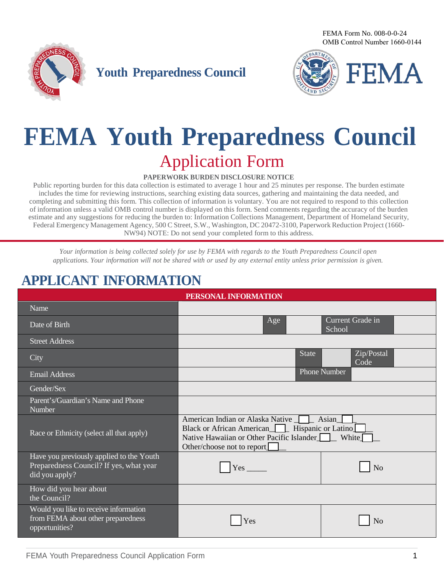FEMA Form No. 008-0-0-24 OMB Control Number 1660-0144



**Youth Preparedness Council**



# **FEMA Youth Preparedness Council** Application Form

#### **PAPERWORK BURDEN DISCLOSURE NOTICE**

Public reporting burden for this data collection is estimated to average 1 hour and 25 minutes per response. The burden estimate includes the time for reviewing instructions, searching existing data sources, gathering and maintaining the data needed, and completing and submitting this form. This collection of information is voluntary. You are not required to respond to this collection of information unless a valid OMB control number is displayed on this form. Send comments regarding the accuracy of the burden estimate and any suggestions for reducing the burden to: Information Collections Management, Department of Homeland Security, Federal Emergency Management Agency, 500 C Street, S.W., Washington, DC 20472-3100, Paperwork Reduction Project (1660- NW94) NOTE: Do not send your completed form to this address.

*Your information is being collected solely for use by FEMA with regards to the Youth Preparedness Council open applications. Your information will not be shared with or used by any external entity unless prior permission is given.*

#### **APPLICANT INFORMATION**

| PERSONAL INFORMATION                                                                                  |                                                                                                                                                                                           |                            |
|-------------------------------------------------------------------------------------------------------|-------------------------------------------------------------------------------------------------------------------------------------------------------------------------------------------|----------------------------|
| Name                                                                                                  |                                                                                                                                                                                           |                            |
| Date of Birth                                                                                         | Age                                                                                                                                                                                       | Current Grade in<br>School |
| <b>Street Address</b>                                                                                 |                                                                                                                                                                                           |                            |
| City                                                                                                  | <b>State</b>                                                                                                                                                                              | Zip/Postal<br>Code         |
| <b>Email Address</b>                                                                                  |                                                                                                                                                                                           | Phone Number               |
| Gender/Sex                                                                                            |                                                                                                                                                                                           |                            |
| Parent's/Guardian's Name and Phone<br>Number                                                          |                                                                                                                                                                                           |                            |
| Race or Ethnicity (select all that apply)                                                             | American Indian or Alaska Native   Asian<br>Black or African American Hispanic or Latino<br>Native Hawaiian or Other Pacific Islander<br>White <sup>[</sup><br>Other/choose not to report |                            |
| Have you previously applied to the Youth<br>Preparedness Council? If yes, what year<br>did you apply? | Yes                                                                                                                                                                                       | N <sub>o</sub>             |
| How did you hear about<br>the Council?                                                                |                                                                                                                                                                                           |                            |
| Would you like to receive information<br>from FEMA about other preparedness<br>opportunities?         | Yes                                                                                                                                                                                       | No                         |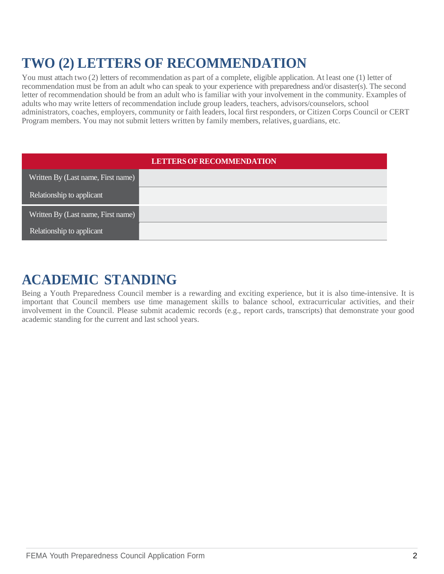# **TWO (2) LETTERS OF RECOMMENDATION**

You must attach two (2) letters of recommendation as part of a complete, eligible application. At least one (1) letter of recommendation must be from an adult who can speak to your experience with preparedness and/or disaster(s). The second letter of recommendation should be from an adult who is familiar with your involvement in the community. Examples of adults who may write letters of recommendation include group leaders, teachers, advisors/counselors, school administrators, coaches, employers, community or faith leaders, local first responders, or Citizen Corps Council or CERT Program members. You may not submit letters written by family members, relatives, guardians, etc.

| <b>LETTERS OF RECOMMENDATION</b>   |  |  |
|------------------------------------|--|--|
| Written By (Last name, First name) |  |  |
| Relationship to applicant          |  |  |
| Written By (Last name, First name) |  |  |
| Relationship to applicant          |  |  |

### **ACADEMIC STANDING**

Being a Youth Preparedness Council member is a rewarding and exciting experience, but it is also time-intensive. It is important that Council members use time management skills to balance school, extracurricular activities, and their involvement in the Council. Please submit academic records (e.g., report cards, transcripts) that demonstrate your good academic standing for the current and last school years.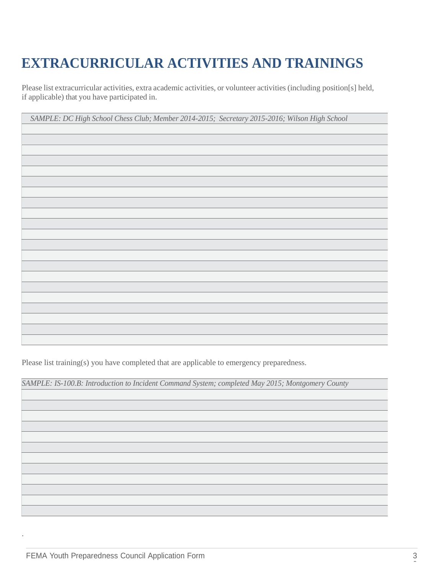# **EXTRACURRICULAR ACTIVITIES AND TRAININGS**

Please list extracurricular activities, extra academic activities, or volunteer activities (including position[s] held, if applicable) that you have participated in.

| SAMPLE: DC High School Chess Club; Member 2014-2015; Secretary 2015-2016; Wilson High School |  |  |  |
|----------------------------------------------------------------------------------------------|--|--|--|
|----------------------------------------------------------------------------------------------|--|--|--|

Please list training(s) you have completed that are applicable to emergency preparedness.

*SAMPLE: IS-100.B: Introduction to Incident Command System; completed May 2015; Montgomery County*

.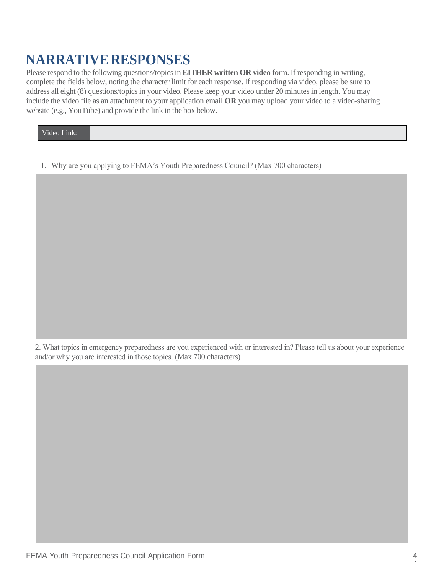### **NARRATIVE RESPONSES**

Please respond to the following questions/topics in **EITHER written OR video** form. If responding in writing, complete the fields below, noting the character limit for each response. If responding via video, please be sure to address all eight (8) questions/topics in your video. Please keep your video under 20 minutes in length. You may include the video file as an attachment to your application email **OR** you may upload your video to a video-sharing website (e.g., YouTube) and provide the link in the box below.

Video Link:

1. Why are you applying to FEMA's Youth Preparedness Council? (Max 700 characters)

2. What topics in emergency preparedness are you experienced with or interested in? Please tell us about your experience and/or why you are interested in those topics. (Max 700 characters)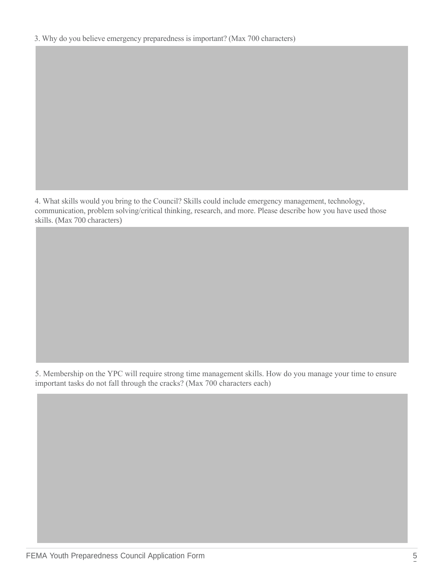4. What skills would you bring to the Council? Skills could include emergency management, technology, communication, problem solving/critical thinking, research, and more. Please describe how you have used those skills. (Max 700 characters)

5. Membership on the YPC will require strong time management skills. How do you manage your time to ensure important tasks do not fall through the cracks? (Max 700 characters each)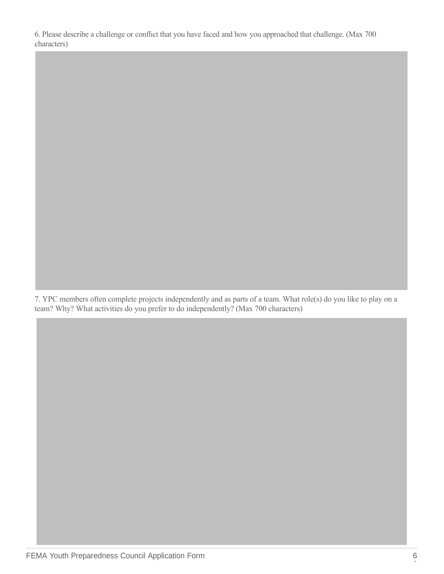6. Please describe a challenge or conflict that you have faced and how you approached that challenge. (Max 700 characters)

7. YPC members often complete projects independently and as parts of a team. What role(s) do you like to play on a team? Why? What activities do you prefer to do independently? (Max 700 characters)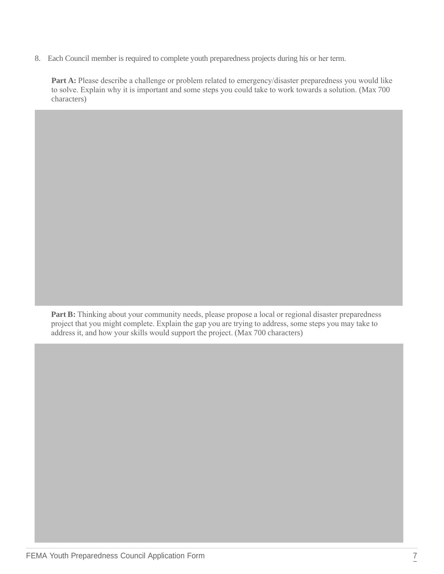8. Each Council member is required to complete youth preparedness projects during his or her term.

Part A: Please describe a challenge or problem related to emergency/disaster preparedness you would like to solve. Explain why it is important and some steps you could take to work towards a solution. (Max 700 characters)

Part B: Thinking about your community needs, please propose a local or regional disaster preparedness project that you might complete. Explain the gap you are trying to address, some steps you may take to address it, and how your skills would support the project. (Max 700 characters)